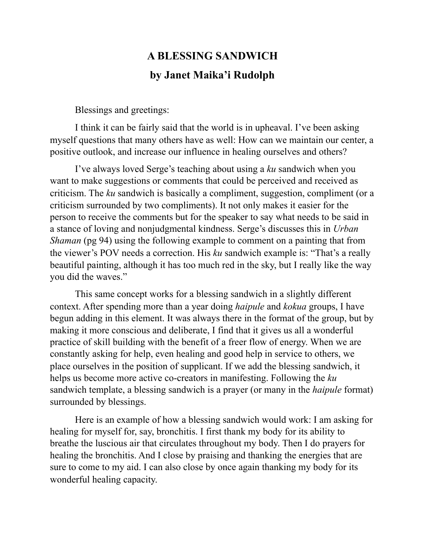## **A BLESSING SANDWICH by Janet Maika'i Rudolph**

Blessings and greetings:

I think it can be fairly said that the world is in upheaval. I've been asking myself questions that many others have as well: How can we maintain our center, a positive outlook, and increase our influence in healing ourselves and others?

I've always loved Serge's teaching about using a *ku* sandwich when you want to make suggestions or comments that could be perceived and received as criticism. The *ku* sandwich is basically a compliment, suggestion, compliment (or a criticism surrounded by two compliments). It not only makes it easier for the person to receive the comments but for the speaker to say what needs to be said in a stance of loving and nonjudgmental kindness. Serge's discusses this in *Urban Shaman* (pg 94) using the following example to comment on a painting that from the viewer's POV needs a correction. His *ku* sandwich example is: "That's a really beautiful painting, although it has too much red in the sky, but I really like the way you did the waves."

 This same concept works for a blessing sandwich in a slightly different context. After spending more than a year doing *haipule* and *kokua* groups, I have begun adding in this element. It was always there in the format of the group, but by making it more conscious and deliberate, I find that it gives us all a wonderful practice of skill building with the benefit of a freer flow of energy. When we are constantly asking for help, even healing and good help in service to others, we place ourselves in the position of supplicant. If we add the blessing sandwich, it helps us become more active co-creators in manifesting. Following the *ku* sandwich template, a blessing sandwich is a prayer (or many in the *haipule* format) surrounded by blessings.

 Here is an example of how a blessing sandwich would work: I am asking for healing for myself for, say, bronchitis. I first thank my body for its ability to breathe the luscious air that circulates throughout my body. Then I do prayers for healing the bronchitis. And I close by praising and thanking the energies that are sure to come to my aid. I can also close by once again thanking my body for its wonderful healing capacity.